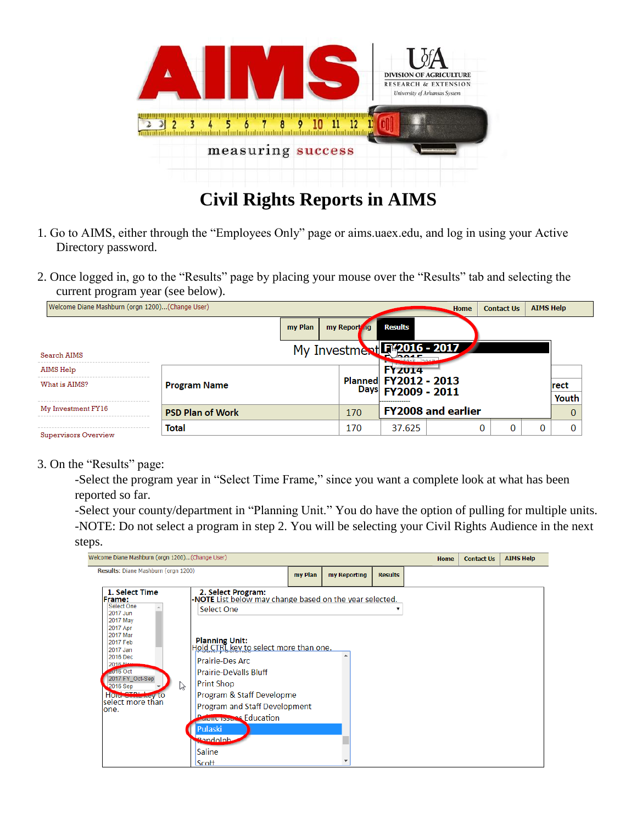

## **Civil Rights Reports in AIMS**

- 1. Go to AIMS, either through the "Employees Only" page or aims.uaex.edu, and log in using your Active Directory password.
- 2. Once logged in, go to the "Results" page by placing your mouse over the "Results" tab and selecting the current program year (see below).

| Welcome Diane Mashburn (orgn 1200)(Change User)<br>Home |                         |         |                             |                                             |                           | <b>Contact Us</b> | <b>AIMS Help</b> |             |
|---------------------------------------------------------|-------------------------|---------|-----------------------------|---------------------------------------------|---------------------------|-------------------|------------------|-------------|
|                                                         |                         | my Plan | my Report ng                | <b>Results</b>                              |                           |                   |                  |             |
| Search AIMS                                             |                         |         | My Investment F*2016 - 2017 |                                             |                           |                   |                  |             |
| AIMS Help                                               |                         |         |                             | <b>FYZ014</b>                               |                           |                   |                  |             |
| What is AIMS?                                           | <b>Program Name</b>     |         |                             | Planned FY2012 - 2013<br>Days FY2009 - 2011 |                           |                   |                  | <b>rect</b> |
|                                                         |                         |         |                             | _____________                               |                           |                   |                  | Youth       |
| My Investment FY16                                      | <b>PSD Plan of Work</b> |         | 170                         |                                             | <b>FY2008 and earlier</b> |                   |                  | 0           |
|                                                         | Total                   |         | 170                         | 37.625                                      |                           | 0<br>0            | 0                |             |
| Supervisors Overview                                    |                         |         |                             |                                             |                           |                   |                  |             |

## 3. On the "Results" page:

-Select the program year in "Select Time Frame," since you want a complete look at what has been reported so far.

-Select your county/department in "Planning Unit." You do have the option of pulling for multiple units. -NOTE: Do not select a program in step 2. You will be selecting your Civil Rights Audience in the next steps.

| Welcome Diane Mashburn (orgn 1200)(Change User)                                                                                                                                                                                                           |                                                                                                                                                                                                                                                                                                                                                                                                          |              |                |   | <b>Home</b> | <b>Contact Us</b> | <b>AIMS Help</b> |
|-----------------------------------------------------------------------------------------------------------------------------------------------------------------------------------------------------------------------------------------------------------|----------------------------------------------------------------------------------------------------------------------------------------------------------------------------------------------------------------------------------------------------------------------------------------------------------------------------------------------------------------------------------------------------------|--------------|----------------|---|-------------|-------------------|------------------|
| Results: Diane Mashburn (orgn 1200)                                                                                                                                                                                                                       | my Plan                                                                                                                                                                                                                                                                                                                                                                                                  | my Reporting | <b>Results</b> |   |             |                   |                  |
| 1. Select Time<br><b>Frame:</b><br>Select One<br>2017 Jun<br>2017 May<br>2017 Apr<br>2017 Mar<br>2017 Feb<br>2017 Jan<br>2016 Dec<br>2016 No<br>$\leq 016$ Oct<br>2017 FY Oct-Sep<br>P<br>2016 Sep<br>Hold Children very to<br>lselect more than<br>lone. | 2. Select Program:<br>- <b>NOTE</b> List below may change based on the year selected.<br>Select One<br><b>Planning Unit:</b><br>Hold CTRL key to select more than one.<br>Prairie-Des Arc<br><b>Prairie-DeValls Bluff</b><br><b>Print Shop</b><br>Program & Staff Developme<br>Program and Staff Development<br><b>Report Tople of Education</b><br>Pulaski<br><b>Bandolph</b><br><b>Saline</b><br>Scott |              |                | ▼ |             |                   |                  |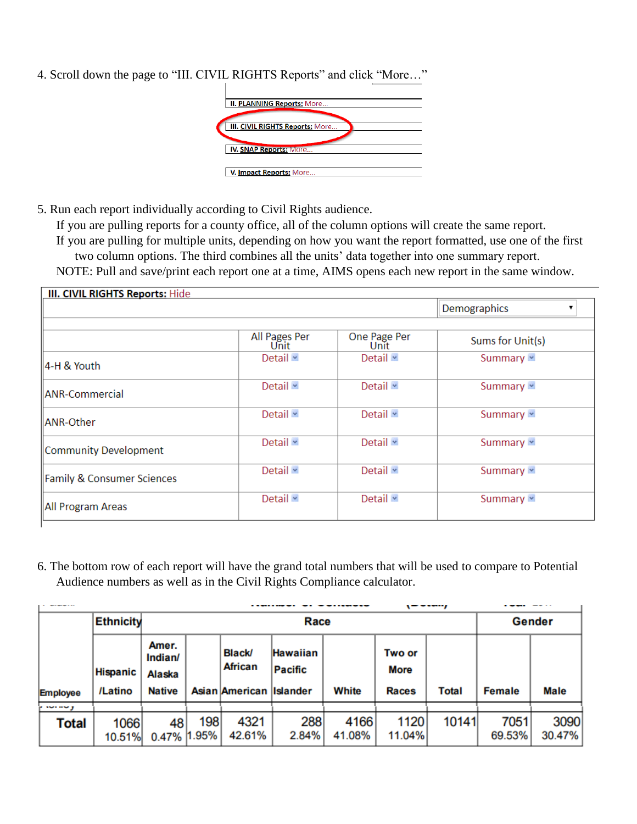4. Scroll down the page to "III. CIVIL RIGHTS Reports" and click "More…"

| <b>II. PLANNING Reports: More</b> |
|-----------------------------------|
|                                   |
|                                   |
| III. CIVIL RIGHTS Reports: More   |
|                                   |
| <b>IV. SNAP Reports: More</b>     |
|                                   |
| V. Impact Reports: More           |

5. Run each report individually according to Civil Rights audience.

If you are pulling reports for a county office, all of the column options will create the same report. If you are pulling for multiple units, depending on how you want the report formatted, use one of the first two column options. The third combines all the units' data together into one summary report. NOTE: Pull and save/print each report one at a time, AIMS opens each new report in the same window.

|                                       |                       |                      | Demographics     |
|---------------------------------------|-----------------------|----------------------|------------------|
|                                       | All Pages Per<br>Unit | One Page Per<br>Unit | Sums for Unit(s) |
| 4-H & Youth                           | Detail ×              | Detail $\sim$        | Summary v        |
| ANR-Commercial                        | Detail <b>v</b>       | Detail $\sim$        | Summary v        |
| ANR-Other                             | Detail $\sim$         | Detail $\sim$        | Summary v        |
| Community Development                 | Detail $\sim$         | Detail $\sim$        | Summary v        |
| <b>Family &amp; Consumer Sciences</b> | Detail v              | Detail $\sim$        | Summary v        |
| All Program Areas                     | Detail v              | Detail $*$           | Summary v        |

6. The bottom row of each report will have the grand total numbers that will be used to compare to Potential Audience numbers as well as in the Civil Rights Compliance calculator.

|                 | <b>Ethnicity</b>           |                                                    | Race         |                                                     |                     |                |                                       |       | Gender         |                |
|-----------------|----------------------------|----------------------------------------------------|--------------|-----------------------------------------------------|---------------------|----------------|---------------------------------------|-------|----------------|----------------|
| <b>Employee</b> | <b>Hispanic</b><br>/Latino | Amer.<br>Indian/<br><b>Alaska</b><br><b>Native</b> |              | <b>Black/</b><br>African<br>Asian American Islander | Hawaiian<br>Pacific | White          | Two or<br><b>More</b><br><b>Races</b> | Total | <b>Female</b>  | Male           |
| $\sim \sim$     |                            |                                                    |              |                                                     |                     |                |                                       |       |                |                |
| Total           | 1066<br>10.51%             | 48<br>0.47%                                        | 198<br>1.95% | 4321<br>42.61%                                      | 288<br>2.84%        | 4166<br>41.08% | 1120<br>11.04%                        | 10141 | 7051<br>69.53% | 3090<br>30.47% |